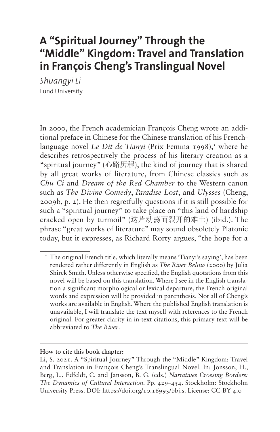# **A "Spiritual Journey" Through the "Middle" Kingdom: Travel and Translation in François Cheng's Translingual Novel**

*Shuangyi Li* Lund University

In 2000, the French academician François Cheng wrote an additional preface in Chinese for the Chinese translation of his Frenchlanguage novel *Le Dit de Tianyi* (Prix Femina [1](#page-0-0)998),<sup>1</sup> where he describes retrospectively the process of his literary creation as a "spiritual journey" (心路历程), the kind of journey that is shared by all great works of literature, from Chinese classics such as *Chu Ci* and *Dream of the Red Chamber* to the Western canon such as *The Divine Comedy*, *Paradise Lost*, and *Ulysses* (Cheng, 2009b, p. 2). He then regretfully questions if it is still possible for such a "spiritual journey" to take place on "this land of hardship cracked open by turmoil" (这片动荡而裂开的难土) (ibid.). The phrase "great works of literature" may sound obsoletely Platonic today, but it expresses, as Richard Rorty argues, "the hope for a

**How to cite this book chapter:**

<span id="page-0-0"></span><sup>&</sup>lt;sup>1</sup> The original French title, which literally means 'Tianyi's saying', has been rendered rather differently in English as *The River Below* (2000) by Julia Shirek Smith. Unless otherwise specified, the English quotations from this novel will be based on this translation. Where I see in the English translation a significant morphological or lexical departure, the French original words and expression will be provided in parenthesis. Not all of Cheng's works are available in English. Where the published English translation is unavailable, I will translate the text myself with references to the French original. For greater clarity in in-text citations, this primary text will be abbreviated to *The River*.

Li, S. 2021. A "Spiritual Journey" Through the "Middle" Kingdom: Travel and Translation in François Cheng's Translingual Novel. In: Jonsson, H., Berg, L., Edfeldt, C. and Jansson, B. G. (eds.) *Narratives Crossing Borders: The Dynamics of Cultural Interaction.* Pp. 429–454. Stockholm: Stockholm University Press. DOI:<https://doi.org/10.16993/bbj.s>. License: CC-BY 4.0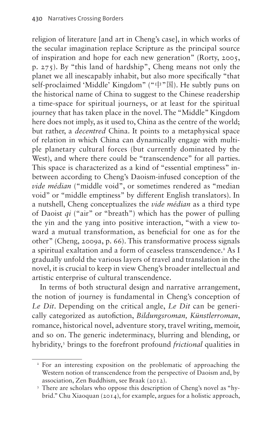religion of literature [and art in Cheng's case], in which works of the secular imagination replace Scripture as the principal source of inspiration and hope for each new generation" (Rorty, 2005, p. 275). By "this land of hardship", Cheng means not only the planet we all inescapably inhabit, but also more specifically "that self-proclaimed 'Middle' Kingdom" ("中"国). He subtly puns on the historical name of China to suggest to the Chinese readership a time-space for spiritual journeys, or at least for the spiritual journey that has taken place in the novel. The "Middle" Kingdom here does not imply, as it used to, China as the centre of the world; but rather, a *decentred* China. It points to a metaphysical space of relation in which China can dynamically engage with multiple planetary cultural forces (but currently dominated by the West), and where there could be "transcendence" for all parties. This space is characterized as a kind of "essential emptiness" inbetween according to Cheng's Daoism-infused conception of the *vide médian* ("middle void", or sometimes rendered as "median void" or "middle emptiness" by different English translators). In a nutshell, Cheng conceptualizes the *vide médian* as a third type of Daoist *qi* ("air" or "breath") which has the power of pulling the yin and the yang into positive interaction, "with a view toward a mutual transformation, as beneficial for one as for the other" (Cheng, 2009a, p. 66). This transformative process signals a spiritual exaltation and a form of ceaseless transcendence.<sup>2</sup> As I gradually unfold the various layers of travel and translation in the novel, it is crucial to keep in view Cheng's broader intellectual and artistic enterprise of cultural transcendence.

In terms of both structural design and narrative arrangement, the notion of journey is fundamental in Cheng's conception of *Le Dit*. Depending on the critical angle, *Le Dit* can be generically categorized as autofiction, *Bildungsroman, Künstlerroman*, romance, historical novel, adventure story, travel writing, memoir, and so on. The generic indeterminacy, blurring and blending, or hybridity,[3](#page-1-1) brings to the forefront profound *frictional* qualities in

<span id="page-1-0"></span><sup>&</sup>lt;sup>2</sup> For an interesting exposition on the problematic of approaching the Western notion of transcendence from the perspective of Daoism and, by association, Zen Buddhism, see Braak (2012).

<span id="page-1-1"></span><sup>&</sup>lt;sup>3</sup> There are scholars who oppose this description of Cheng's novel as "hybrid." Chu Xiaoquan (2014), for example, argues for a holistic approach,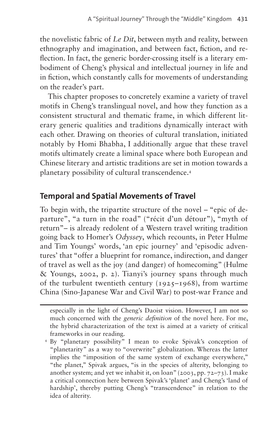the novelistic fabric of *Le Dit*, between myth and reality, between ethnography and imagination, and between fact, fiction, and reflection. In fact, the generic border-crossing itself is a literary embodiment of Cheng's physical and intellectual journey in life and in fiction, which constantly calls for movements of understanding on the reader's part.

This chapter proposes to concretely examine a variety of travel motifs in Cheng's translingual novel, and how they function as a consistent structural and thematic frame, in which different literary generic qualities and traditions dynamically interact with each other. Drawing on theories of cultural translation, initiated notably by Homi Bhabha, I additionally argue that these travel motifs ultimately create a liminal space where both European and Chinese literary and artistic traditions are set in motion towards a planetary possibility of cultural transcendence.[4](#page-2-0)

#### **Temporal and Spatial Movements of Travel**

To begin with, the tripartite structure of the novel – "epic of departure", "a turn in the road" ("récit d'un détour"), "myth of return"– is already redolent of a Western travel writing tradition going back to Homer's *Odyssey*, which recounts, in Peter Hulme and Tim Youngs' words, 'an epic journey' and 'episodic adventures' that "offer a blueprint for romance, indirection, and danger of travel as well as the joy (and danger) of homecoming" (Hulme & Youngs, 2002, p. 2). Tianyi's journey spans through much of the turbulent twentieth century (1925–1968), from wartime China (Sino-Japanese War and Civil War) to post-war France and

especially in the light of Cheng's Daoist vision. However, I am not so much concerned with the *generic definition* of the novel here. For me, the hybrid characterization of the text is aimed at a variety of critical frameworks in our reading.

<span id="page-2-0"></span><sup>4</sup> By "planetary possibility" I mean to evoke Spivak's conception of "planetarity" as a way to "overwrite" globalization. Whereas the latter implies the "imposition of the same system of exchange everywhere," "the planet," Spivak argues, "is in the species of alterity, belonging to another system; and yet we inhabit it, on loan" (2003, pp. 72–73). I make a critical connection here between Spivak's 'planet' and Cheng's 'land of hardship', thereby putting Cheng's "transcendence" in relation to the idea of alterity.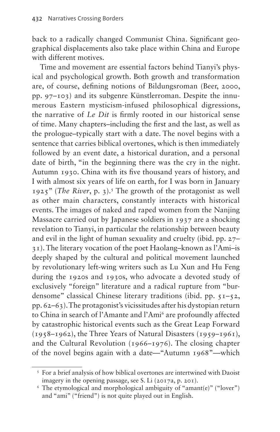back to a radically changed Communist China. Significant geographical displacements also take place within China and Europe with different motives.

Time and movement are essential factors behind Tianyi's physical and psychological growth. Both growth and transformation are, of course, defining notions of Bildungsroman (Beer, 2000, pp. 97–103) and its subgenre Künstlerroman. Despite the innumerous Eastern mysticism-infused philosophical digressions, the narrative of *Le Dit* is firmly rooted in our historical sense of time. Many chapters–including the first and the last, as well as the prologue–typically start with a date. The novel begins with a sentence that carries biblical overtones, which is then immediately followed by an event date, a historical duration, and a personal date of birth, "in the beginning there was the cry in the night. Autumn 1930. China with its five thousand years of history, and I with almost six years of life on earth, for I was born in January 1925" (*The River*, p. 3).<sup>5</sup> The growth of the protagonist as well as other main characters, constantly interacts with historical events. The images of naked and raped women from the Nanjing Massacre carried out by Japanese soldiers in 1937 are a shocking revelation to Tianyi, in particular the relationship between beauty and evil in the light of human sexuality and cruelty (ibid. pp. 27– 31). The literary vocation of the poet Haolang–known as l'Ami–is deeply shaped by the cultural and political movement launched by revolutionary left-wing writers such as Lu Xun and Hu Feng during the 1920s and 1930s, who advocate a devoted study of exclusively "foreign" literature and a radical rupture from "burdensome" classical Chinese literary traditions (ibid. pp. 51–52, pp. 62–63). The protagonist's vicissitudes after his dystopian return to China in search of l'Amante and l'Ami<sup>6</sup> are profoundly affected by catastrophic historical events such as the Great Leap Forward (1958–1962), the Three Years of Natural Disasters (1959–1961), and the Cultural Revolution (1966–1976). The closing chapter of the novel begins again with a date—"Autumn 1968"—which

<span id="page-3-0"></span><sup>5</sup> For a brief analysis of how biblical overtones are intertwined with Daoist imagery in the opening passage, see S. Li (2017a, p. 201).

<span id="page-3-1"></span><sup>6</sup> The etymological and morphological ambiguity of "amant(e)" ("lover") and "ami" ("friend") is not quite played out in English.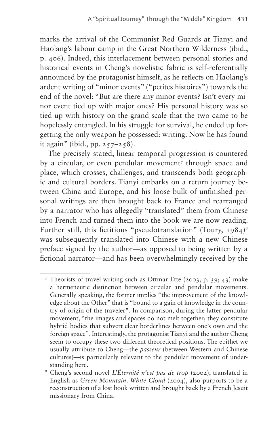marks the arrival of the Communist Red Guards at Tianyi and Haolang's labour camp in the Great Northern Wilderness (ibid., p. 406). Indeed, this interlacement between personal stories and historical events in Cheng's novelistic fabric is self-referentially announced by the protagonist himself, as he reflects on Haolang's ardent writing of "minor events" ("petites histoires") towards the end of the novel: "But are there any minor events? Isn't every minor event tied up with major ones? His personal history was so tied up with history on the grand scale that the two came to be hopelessly entangled. In his struggle for survival, he ended up forgetting the only weapon he possessed: writing. Now he has found it again" (ibid., pp.  $257-258$ ).

The precisely stated, linear temporal progression is countered by a circular, or even pendular movement<sup>7</sup> through space and place, which crosses, challenges, and transcends both geographic and cultural borders. Tianyi embarks on a return journey between China and Europe, and his loose bulk of unfinished personal writings are then brought back to France and rearranged by a narrator who has allegedly "translated" them from Chinese into French and turned them into the book we are now reading. Further still, this fictitious "pseudotranslation" (Toury, 1984)<sup>8</sup> was subsequently translated into Chinese with a new Chinese preface signed by the author—as opposed to being written by a fictional narrator—and has been overwhelmingly received by the

<span id="page-4-0"></span><sup>7</sup> Theorists of travel writing such as Ottmar Ette (2003, p. 39; 43) make a hermeneutic distinction between circular and pendular movements. Generally speaking, the former implies "the improvement of the knowledge about the Other" that is "bound to a gain of knowledge in the country of origin of the traveler". In comparison, during the latter pendular movement, "the images and spaces do not melt together; they constitute hybrid bodies that subvert clear borderlines between one's own and the foreign space". Interestingly, the protagonist Tianyi and the author Cheng seem to occupy these two different theoretical positions. The epithet we usually attribute to Cheng—the *passeur* (between Western and Chinese cultures)—is particularly relevant to the pendular movement of understanding here.

<span id="page-4-1"></span><sup>8</sup> Cheng's second novel *L'Éternité n'est pas de trop* (2002), translated in English as *Green Mountain, White Cloud* (2004), also purports to be a reconstruction of a lost book written and brought back by a French Jesuit missionary from China.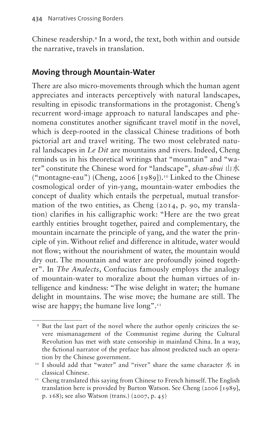Chinese readership[.9](#page-5-0) In a word, the text, both within and outside the narrative, travels in translation.

#### **Moving through Mountain-Water**

There are also micro-movements through which the human agent appreciates and interacts perceptively with natural landscapes, resulting in episodic transformations in the protagonist. Cheng's recurrent word-image approach to natural landscapes and phenomena constitutes another significant travel motif in the novel, which is deep-rooted in the classical Chinese traditions of both pictorial art and travel writing. The two most celebrated natural landscapes in *Le Dit* are mountains and rivers. Indeed, Cheng reminds us in his theoretical writings that "mountain" and "water" constitute the Chinese word for "landscape", *shan-shui* 山水 ("montagne-eau") (Cheng, 2006  $[1989]$ ).<sup>10</sup> Linked to the Chinese cosmological order of yin-yang, mountain-water embodies the concept of duality which entails the perpetual, mutual transformation of the two entities, as Cheng (2014, p. 90, my translation) clarifies in his calligraphic work: "Here are the two great earthly entities brought together, paired and complementary, the mountain incarnate the principle of yang, and the water the principle of yin. Without relief and difference in altitude, water would not flow; without the nourishment of water, the mountain would dry out. The mountain and water are profoundly joined together". In *The Analects*, Confucius famously employs the analogy of mountain-water to moralize about the human virtues of intelligence and kindness: "The wise delight in water; the humane delight in mountains. The wise move; the humane are still. The wise are happy; the humane live long".<sup>11</sup>

<span id="page-5-0"></span><sup>9</sup> But the last part of the novel where the author openly criticizes the severe mismanagement of the Communist regime during the Cultural Revolution has met with state censorship in mainland China. In a way, the fictional narrator of the preface has almost predicted such an operation by the Chinese government.

<span id="page-5-1"></span><sup>&</sup>lt;sup>10</sup> I should add that "water" and "river" share the same character  $\mathcal K$  in classical Chinese. 11 Cheng translated this saying from Chinese to French himself. The English

<span id="page-5-2"></span>translation here is provided by Burton Watson. See Cheng (2006 [1989], p. 168); see also Watson (trans.) (2007, p. 45)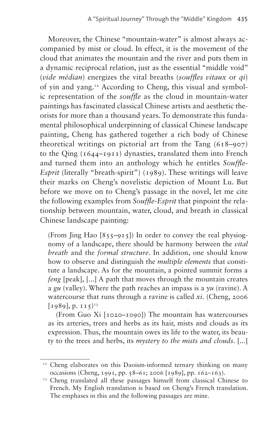Moreover, the Chinese "mountain-water" is almost always accompanied by mist or cloud. In effect, it is the movement of the cloud that animates the mountain and the river and puts them in a dynamic reciprocal relation, just as the essential "middle void" (*vide médian*) energizes the vital breaths (*souffles vitaux* or *qi*) of yin and yang[.12](#page-6-0) According to Cheng, this visual and symbolic representation of the *souffle* as the cloud in mountain-water paintings has fascinated classical Chinese artists and aesthetic theorists for more than a thousand years. To demonstrate this fundamental philosophical underpinning of classical Chinese landscape painting, Cheng has gathered together a rich body of Chinese theoretical writings on pictorial art from the Tang (618–907) to the Qing (1644–1911) dynasties, translated them into French and turned them into an anthology which he entitles *Souffle-Esprit* (literally "breath-spirit") (1989). These writings will leave their marks on Cheng's novelistic depiction of Mount Lu. But before we move on to Cheng's passage in the novel, let me cite the following examples from *Souffle-Esprit* that pinpoint the relationship between mountain, water, cloud, and breath in classical Chinese landscape painting:

(From  $\text{ling Hao } [855-915]$ ) In order to convey the real physiognomy of a landscape, there should be harmony between the *vital breath* and the *formal structure*. In addition, one should know how to observe and distinguish the *multiple elements* that constitute a landscape. As for the mountain, a pointed summit forms a *feng* [peak], [...] A path that moves through the mountain creates a *gu* (valley). Where the path reaches an impass is a *yu* (ravine). A watercourse that runs through a ravine is called *xi*. (Cheng, 2006  $[1989], p. II5$ <sup>[13](#page-6-1)</sup>

(From Guo Xi [1020–1090]) The mountain has watercourses as its arteries, trees and herbs as its hair, mists and clouds as its expression. Thus, the mountain owes its life to the water, its beauty to the trees and herbs, its *mystery to the mists and clouds*. [...]

<span id="page-6-0"></span><sup>&</sup>lt;sup>12</sup> Cheng elaborates on this Daoism-informed ternary thinking on many occasions (Cheng, 1991, pp. 58–61; 2006 [1989], pp. 162–163).

<span id="page-6-1"></span><sup>&</sup>lt;sup>13</sup> Cheng translated all these passages himself from classical Chinese to French. My English translation is based on Cheng's French translation. The emphases in this and the following passages are mine.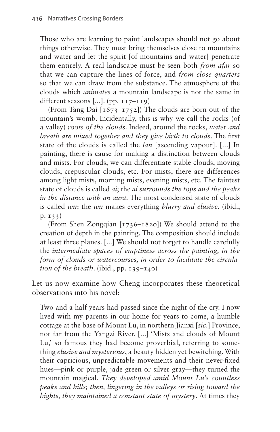Those who are learning to paint landscapes should not go about things otherwise. They must bring themselves close to mountains and water and let the spirit [of mountains and water] penetrate them entirely. A real landscape must be seen both *from afar* so that we can capture the lines of force, and *from close quarters* so that we can draw from the substance. The atmosphere of the clouds which *animates* a mountain landscape is not the same in different seasons [...]. (pp. 117–119)

(From Tang Dai [1673–1752]) The clouds are born out of the mountain's womb. Incidentally, this is why we call the rocks (of a valley) *roots of the clouds*. Indeed, around the rocks, *water and breath are mixed together and they give birth to clouds*. The first state of the clouds is called the *lan* [ascending vapour]. [...] In painting, there is cause for making a distinction between clouds and mists. For clouds, we can differentiate stable clouds, moving clouds, crepuscular clouds, etc. For mists, there are differences among light mists, morning mists, evening mists, etc. The faintest state of clouds is called *ai*; the *ai surrounds the tops and the peaks in the distance with an aura*. The most condensed state of clouds is called *wu*: the *wu* makes everything *blurry and elusive*. (ibid., p. 133)

(From Shen Zongqian [1736–1820]) We should attend to the creation of depth in the painting. The composition should include at least three planes. [...] We should not forget to handle carefully the *intermediate spaces of emptiness across the painting, in the form of clouds or watercourses, in order to facilitate the circulation of the breath*. (ibid., pp. 139–140)

Let us now examine how Cheng incorporates these theoretical observations into his novel:

Two and a half years had passed since the night of the cry. I now lived with my parents in our home for years to come, a humble cottage at the base of Mount Lu, in northern Jianxi [*sic*.] Province, not far from the Yangzi River. [...] 'Mists and clouds of Mount Lu,' so famous they had become proverbial, referring to something *elusive and mysterious*, a beauty hidden yet bewitching. With their capricious, unpredictable movements and their never-fixed hues—pink or purple, jade green or silver gray—they turned the mountain magical. *They developed amid Mount Lu's countless peaks and hills; then, lingering in the valleys or rising toward the hights, they maintained a constant state of mystery*. At times they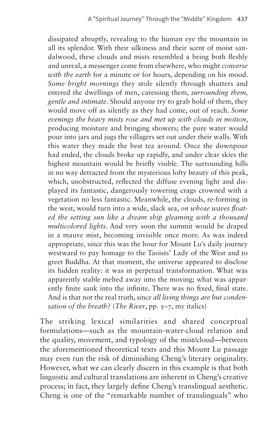dissipated abruptly, revealing to the human eye the mountain in all its splendor. With their silkiness and their scent of moist sandalwood, these clouds and mists resembled a being both fleshly and unreal, a messenger come from elsewhere, who might *converse with the earth* for a minute or for hours, depending on his mood. *Some bright mornings* they stole silently through shutters and entered the dwellings of men, caressing them, *surrounding them, gentle and intimate*. Should anyone try to grab hold of them, they would move off as silently as they had come, out of reach. *Some evenings the heavy mists rose and met up with clouds in motion*, producing moisture and bringing showers; the pure water would pour into jars and jugs the villagers set out under their walls. With this water they made the best tea around. Once the downpour had ended, the clouds broke up rapidly, and under clear skies the highest mountain would be briefly visible. The surrounding hills in no way detracted from the mysterious lofty beauty of this peak, which, unobstructed, reflected the diffuse evening light and displayed its fantastic, dangerously towering crags crowned with a vegetation no less fantastic. Meanwhile, the clouds, re-forming in the west, would turn into a wide, slack sea, *on whose waves floated the setting sun like a dream ship gleaming with a thousand multicolored lights*. And very soon the summit would be draped in a mauve mist, becoming invisible once more. As was indeed appropriate, since this was the hour for Mount Lu's daily journey westward to pay homage to the Taoists' Lady of the West and to greet Buddha. At that moment, the universe appeared to disclose its hidden reality: it was in perpetual transformation. What was apparently stable melted away into the moving; what was apparently finite sank into the infinite. There was no fixed, final state. And is that not the real truth, since *all living things are but condensation of the breath*? (*The River*, pp. 5–7, my italics)

The striking lexical similarities and shared conceptual formulations—such as the mountain-water-cloud relation and the quality, movement, and typology of the mist/cloud—between the aforementioned theoretical texts and this Mount Lu passage may even run the risk of diminishing Cheng's literary originality. However, what we can clearly discern in this example is that both linguistic and cultural translations are inherent in Cheng's creative process; in fact, they largely define Cheng's translingual aesthetic. Cheng is one of the "remarkable number of translinguals" who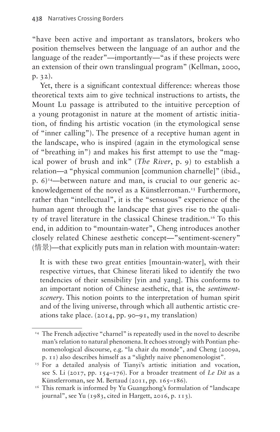"have been active and important as translators, brokers who position themselves between the language of an author and the language of the reader"—importantly—"as if these projects were an extension of their own translingual program" (Kellman, 2000, p. 32).

Yet, there is a significant contextual difference: whereas those theoretical texts aim to give technical instructions to artists, the Mount Lu passage is attributed to the intuitive perception of a young protagonist in nature at the moment of artistic initiation, of finding his artistic vocation (in the etymological sense of "inner calling"). The presence of a receptive human agent in the landscape, who is inspired (again in the etymological sense of "breathing in") and makes his first attempt to use the "magical power of brush and ink" (*The River*, p. 9) to establish a relation—a "physical communion [communion charnelle]" (ibid.,  $p. 6$ <sup>[14](#page-9-0)</sup> – between nature and man, is crucial to our generic acknowledgement of the novel as a Künstlerroman.<sup>15</sup> Furthermore, rather than "intellectual", it is the "sensuous" experience of the human agent through the landscape that gives rise to the quality of travel literature in the classical Chinese tradition.<sup>16</sup> To this end, in addition to "mountain-water", Cheng introduces another closely related Chinese aesthetic concept—"sentiment-scenery" (情景)—that explicitly puts man in relation with mountain-water:

It is with these two great entities [mountain-water], with their respective virtues, that Chinese literati liked to identify the two tendencies of their sensibility [yin and yang]. This conforms to an important notion of Chinese aesthetic, that is, the *sentimentscenery*. This notion points to the interpretation of human spirit and of the living universe, through which all authentic artistic creations take place. (2014, pp. 90–91, my translation)

<span id="page-9-0"></span><sup>&</sup>lt;sup>14</sup> The French adjective "charnel" is repeatedly used in the novel to describe man's relation to natural phenomena. It echoes strongly with Pontian phenomenological discourse, e.g. "la chair du monde", and Cheng (2009a, p. 11) also describes himself as a "slightly naive phenomenologist".

<span id="page-9-1"></span><sup>&</sup>lt;sup>15</sup> For a detailed analysis of Tianyi's artistic initiation and vocation, see S. Li (2017, pp. 154–176). For a broader treatment of *Le Dit* as a Künstlerroman, see M. Bertaud (2011, pp. 165–186).<br><sup>16</sup> This remark is informed by Yu Guangzhong's formulation of "landscape"

<span id="page-9-2"></span>journal", see Yu (1983, cited in Hargett, 2016, p. 113).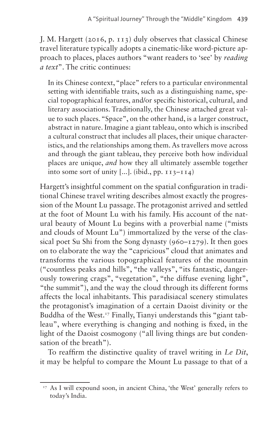J. M. Hargett (2016, p. 113) duly observes that classical Chinese travel literature typically adopts a cinematic-like word-picture approach to places, places authors "want readers to 'see' by *reading a text*". The critic continues:

In its Chinese context, "place" refers to a particular environmental setting with identifiable traits, such as a distinguishing name, special topographical features, and/or specific historical, cultural, and literary associations. Traditionally, the Chinese attached great value to such places. "Space", on the other hand, is a larger construct, abstract in nature. Imagine a giant tableau, onto which is inscribed a cultural construct that includes all places, their unique characteristics, and the relationships among them. As travellers move across and through the giant tableau, they perceive both how individual places are unique, *and* how they all ultimately assemble together into some sort of unity  $[\dots]$ . (ibid., pp.  $113-114$ )

Hargett's insightful comment on the spatial configuration in traditional Chinese travel writing describes almost exactly the progression of the Mount Lu passage. The protagonist arrived and settled at the foot of Mount Lu with his family. His account of the natural beauty of Mount Lu begins with a proverbial name ("mists and clouds of Mount Lu") immortalized by the verse of the classical poet Su Shi from the Song dynasty  $(960 - 1279)$ . It then goes on to elaborate the way the "capricious" cloud that animates and transforms the various topographical features of the mountain ("countless peaks and hills", "the valleys", "its fantastic, dangerously towering crags", "vegetation", "the diffuse evening light", "the summit"), and the way the cloud through its different forms affects the local inhabitants. This paradisiacal scenery stimulates the protagonist's imagination of a certain Daoist divinity or the Buddha of the West.<sup>[17](#page-10-0)</sup> Finally, Tianyi understands this "giant tableau", where everything is changing and nothing is fixed, in the light of the Daoist cosmogony ("all living things are but condensation of the breath").

To reaffirm the distinctive quality of travel writing in *Le Dit*, it may be helpful to compare the Mount Lu passage to that of a

<span id="page-10-0"></span><sup>&</sup>lt;sup>17</sup> As I will expound soon, in ancient China, 'the West' generally refers to today's India.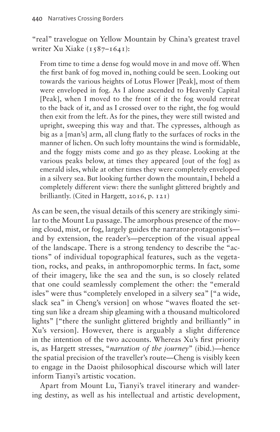"real" travelogue on Yellow Mountain by China's greatest travel writer Xu Xiake (1587–1641):

From time to time a dense fog would move in and move off. When the first bank of fog moved in, nothing could be seen. Looking out towards the various heights of Lotus Flower [Peak], most of them were enveloped in fog. As I alone ascended to Heavenly Capital [Peak], when I moved to the front of it the fog would retreat to the back of it, and as I crossed over to the right, the fog would then exit from the left. As for the pines, they were still twisted and upright, sweeping this way and that. The cypresses, although as big as a [man's] arm, all clung flatly to the surfaces of rocks in the manner of lichen. On such lofty mountains the wind is formidable, and the foggy mists come and go as they please. Looking at the various peaks below, at times they appeared [out of the fog] as emerald isles, while at other times they were completely enveloped in a silvery sea. But looking further down the mountain, I beheld a completely different view: there the sunlight glittered brightly and brilliantly. (Cited in Hargett, 2016, p. 121)

As can be seen, the visual details of this scenery are strikingly similar to the Mount Lu passage. The amorphous presence of the moving cloud, mist, or fog, largely guides the narrator-protagonist's and by extension, the reader's—perception of the visual appeal of the landscape. There is a strong tendency to describe the "actions" of individual topographical features, such as the vegetation, rocks, and peaks, in anthropomorphic terms. In fact, some of their imagery, like the sea and the sun, is so closely related that one could seamlessly complement the other: the "emerald isles" were thus "completely enveloped in a silvery sea" ["a wide, slack sea" in Cheng's version] on whose "waves floated the setting sun like a dream ship gleaming with a thousand multicolored lights" ["there the sunlight glittered brightly and brilliantly" in Xu's version]. However, there is arguably a slight difference in the intention of the two accounts. Whereas Xu's first priority is, as Hargett stresses, "*narration of the journey*" (ibid.)—hence the spatial precision of the traveller's route—Cheng is visibly keen to engage in the Daoist philosophical discourse which will later inform Tianyi's artistic vocation.

Apart from Mount Lu, Tianyi's travel itinerary and wandering destiny, as well as his intellectual and artistic development,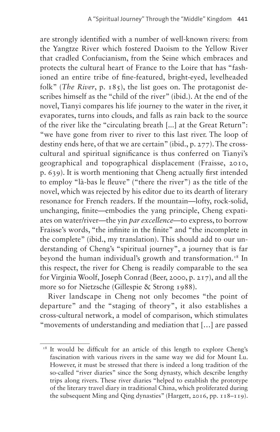are strongly identified with a number of well-known rivers: from the Yangtze River which fostered Daoism to the Yellow River that cradled Confucianism, from the Seine which embraces and protects the cultural heart of France to the Loire that has "fashioned an entire tribe of fine-featured, bright-eyed, levelheaded folk" (*The River*, p. 185), the list goes on. The protagonist describes himself as the "child of the river" (ibid.). At the end of the novel, Tianyi compares his life journey to the water in the river, it evaporates, turns into clouds, and falls as rain back to the source of the river like the "circulating breath [...] at the Great Return": "we have gone from river to river to this last river. The loop of destiny ends here, of that we are certain" (ibid., p. 277). The crosscultural and spiritual significance is thus conferred on Tianyi's geographical and topographical displacement (Fraisse, 2010, p. 639). It is worth mentioning that Cheng actually first intended to employ "là-bas le fleuve" ("there the river") as the title of the novel, which was rejected by his editor due to its dearth of literary resonance for French readers. If the mountain—lofty, rock-solid, unchanging, finite—embodies the yang principle, Cheng expatiates on water/river—the yin *par excellence—*to express, to borrow Fraisse's words, "the infinite in the finite" and "the incomplete in the complete" (ibid., my translation). This should add to our understanding of Cheng's "spiritual journey", a journey that is far beyond the human individual's growth and transformation.<sup>18</sup> In this respect, the river for Cheng is readily comparable to the sea for Virginia Woolf, Joseph Conrad (Beer, 2000, p. 217), and all the more so for Nietzsche (Gillespie & Strong 1988).

River landscape in Cheng not only becomes "the point of departure" and the "staging of theory", it also establishes a cross-cultural network, a model of comparison, which stimulates "movements of understanding and mediation that […] are passed

<span id="page-12-0"></span><sup>&</sup>lt;sup>18</sup> It would be difficult for an article of this length to explore Cheng's fascination with various rivers in the same way we did for Mount Lu. However, it must be stressed that there is indeed a long tradition of the so-called "river diaries" since the Song dynasty, which describe lengthy trips along rivers. These river diaries "helped to establish the prototype of the literary travel diary in traditional China, which proliferated during the subsequent Ming and Qing dynasties" (Hargett, 2016, pp. 118–119).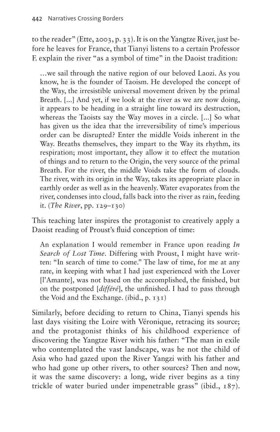to the reader" (Ette, 2003, p. 33). It is on the Yangtze River, just before he leaves for France, that Tianyi listens to a certain Professor F. explain the river "as a symbol of time" in the Daoist tradition:

…we sail through the native region of our beloved Laozi. As you know, he is the founder of Taoism. He developed the concept of the Way, the irresistible universal movement driven by the primal Breath. [...] And yet, if we look at the river as we are now doing, it appears to be heading in a straight line toward its destruction, whereas the Taoists say the Way moves in a circle. [...] So what has given us the idea that the irreversibility of time's imperious order can be disrupted? Enter the middle Voids inherent in the Way. Breaths themselves, they impart to the Way its rhythm, its respiration; most important, they allow it to effect the mutation of things and to return to the Origin, the very source of the primal Breath. For the river, the middle Voids take the form of clouds. The river, with its origin in the Way, takes its appropriate place in earthly order as well as in the heavenly. Water evaporates from the river, condenses into cloud, falls back into the river as rain, feeding it. (*The River*, pp. 129–130)

This teaching later inspires the protagonist to creatively apply a Daoist reading of Proust's fluid conception of time:

An explanation I would remember in France upon reading *In Search of Lost Time*. Differing with Proust, I might have written: "In search of time to come." The law of time, for me at any rate, in keeping with what I had just experienced with the Lover [l'Amante], was not based on the accomplished, the finished, but on the postponed [*différé*], the unfinished. I had to pass through the Void and the Exchange. (ibid., p. 131)

Similarly, before deciding to return to China, Tianyi spends his last days visiting the Loire with Véronique, retracing its source; and the protagonist thinks of his childhood experience of discovering the Yangtze River with his father: "The man in exile who contemplated the vast landscape, was he not the child of Asia who had gazed upon the River Yangzi with his father and who had gone up other rivers, to other sources? Then and now, it was the same discovery: a long, wide river begins as a tiny trickle of water buried under impenetrable grass" (ibid., 187).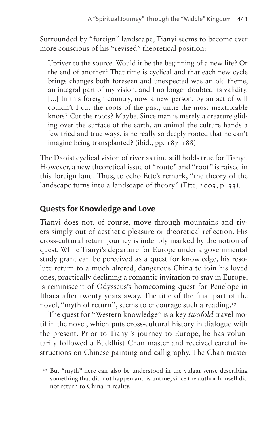Surrounded by "foreign" landscape, Tianyi seems to become ever more conscious of his "revised" theoretical position:

Upriver to the source. Would it be the beginning of a new life? Or the end of another? That time is cyclical and that each new cycle brings changes both foreseen and unexpected was an old theme, an integral part of my vision, and I no longer doubted its validity. [...] In this foreign country, now a new person, by an act of will couldn't I cut the roots of the past, untie the most inextricable knots? Cut the roots? Maybe. Since man is merely a creature gliding over the surface of the earth, an animal the culture hands a few tried and true ways, is he really so deeply rooted that he can't imagine being transplanted? (ibid., pp. 187–188)

The Daoist cyclical vision of river as time still holds true for Tianyi. However, a new theoretical issue of "route" and "root" is raised in this foreign land. Thus, to echo Ette's remark, "the theory of the landscape turns into a landscape of theory" (Ette, 2003, p. 33).

## **Quests for Knowledge and Love**

Tianyi does not, of course, move through mountains and rivers simply out of aesthetic pleasure or theoretical reflection. His cross-cultural return journey is indelibly marked by the notion of quest. While Tianyi's departure for Europe under a governmental study grant can be perceived as a quest for knowledge, his resolute return to a much altered, dangerous China to join his loved ones, practically declining a romantic invitation to stay in Europe, is reminiscent of Odysseus's homecoming quest for Penelope in Ithaca after twenty years away. The title of the final part of the novel, "myth of return", seems to encourage such a reading.<sup>19</sup>

The quest for "Western knowledge" is a key *twofold* travel motif in the novel, which puts cross-cultural history in dialogue with the present. Prior to Tianyi's journey to Europe, he has voluntarily followed a Buddhist Chan master and received careful instructions on Chinese painting and calligraphy. The Chan master

<span id="page-14-0"></span><sup>&</sup>lt;sup>19</sup> But "myth" here can also be understood in the vulgar sense describing something that did not happen and is untrue, since the author himself did not return to China in reality.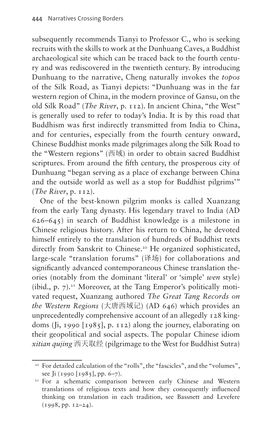subsequently recommends Tianyi to Professor C., who is seeking recruits with the skills to work at the Dunhuang Caves, a Buddhist archaeological site which can be traced back to the fourth century and was rediscovered in the twentieth century. By introducing Dunhuang to the narrative, Cheng naturally invokes the *topos* of the Silk Road, as Tianyi depicts: "Dunhuang was in the far western region of China, in the modern province of Gansu, on the old Silk Road" (*The River*, p. 112). In ancient China, "the West" is generally used to refer to today's India. It is by this road that Buddhism was first indirectly transmitted from India to China, and for centuries, especially from the fourth century onward, Chinese Buddhist monks made pilgrimages along the Silk Road to the "Western regions" (西域) in order to obtain sacred Buddhist scriptures. From around the fifth century, the prosperous city of Dunhuang "began serving as a place of exchange between China and the outside world as well as a stop for Buddhist pilgrims'" (*The River*, p. 112).

One of the best-known pilgrim monks is called Xuanzang from the early Tang dynasty. His legendary travel to India (AD 626–645) in search of Buddhist knowledge is a milestone in Chinese religious history. After his return to China, he devoted himself entirely to the translation of hundreds of Buddhist texts directly from Sanskrit to Chinese.<sup>20</sup> He organized sophisticated, large-scale "translation forums" (译场) for collaborations and significantly advanced contemporaneous Chinese translation theories (notably from the dominant 'literal' or 'simple' *wen* style) (ibid., p.  $7$ ).<sup>21</sup> Moreover, at the Tang Emperor's politically motivated request, Xuanzang authored *The Great Tang Records on the Western Regions* (大唐西域记) (AD 646) which provides an unprecedentedly comprehensive account of an allegedly 128 kingdoms (Ji, 1990 [1985], p. 112) along the journey, elaborating on their geopolitical and social aspects. The popular Chinese idiom *xitian qujing* 西天取经 (pilgrimage to the West for Buddhist Sutra)

<span id="page-15-0"></span><sup>&</sup>lt;sup>20</sup> For detailed calculation of the "rolls", the "fascicles", and the "volumes", see Ji (1990 [1985], pp. 6–7).

<span id="page-15-1"></span><sup>&</sup>lt;sup>21</sup> For a schematic comparison between early Chinese and Western translations of religious texts and how they consequently influenced thinking on translation in each tradition, see Bassnett and Levefere (1998, pp. 12–24).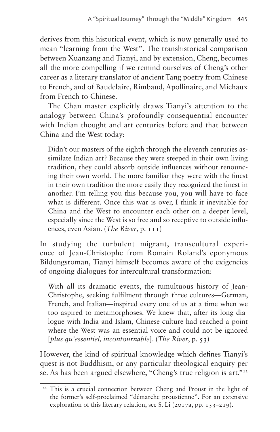derives from this historical event, which is now generally used to mean "learning from the West". The transhistorical comparison between Xuanzang and Tianyi, and by extension, Cheng, becomes all the more compelling if we remind ourselves of Cheng's other career as a literary translator of ancient Tang poetry from Chinese to French, and of Baudelaire, Rimbaud, Apollinaire, and Michaux from French to Chinese.

The Chan master explicitly draws Tianyi's attention to the analogy between China's profoundly consequential encounter with Indian thought and art centuries before and that between China and the West today:

Didn't our masters of the eighth through the eleventh centuries assimilate Indian art? Because they were steeped in their own living tradition, they could absorb outside influences without renouncing their own world. The more familiar they were with the finest in their own tradition the more easily they recognized the finest in another. I'm telling you this because you, you will have to face what is different. Once this war is over, I think it inevitable for China and the West to encounter each other on a deeper level, especially since the West is so free and so receptive to outside influences, even Asian. (*The River*, p. 111)

In studying the turbulent migrant, transcultural experience of Jean-Christophe from Romain Roland's eponymous Bildungsroman, Tianyi himself becomes aware of the exigencies of ongoing dialogues for intercultural transformation:

With all its dramatic events, the tumultuous history of Jean-Christophe, seeking fulfilment through three cultures—German, French, and Italian—inspired every one of us at a time when we too aspired to metamorphoses. We knew that, after its long dialogue with India and Islam, Chinese culture had reached a point where the West was an essential voice and could not be ignored [*plus qu'essentiel, incontournable*]. (*The River*, p. 53)

However, the kind of spiritual knowledge which defines Tianyi's quest is not Buddhism, or any particular theological enquiry per se. As has been argued elsewhere, "Cheng's true religion is art."<sup>[22](#page-16-0)</sup>

<span id="page-16-0"></span><sup>&</sup>lt;sup>22</sup> This is a crucial connection between Cheng and Proust in the light of the former's self-proclaimed "démarche proustienne". For an extensive exploration of this literary relation, see S. Li (2017a, pp. 153–219).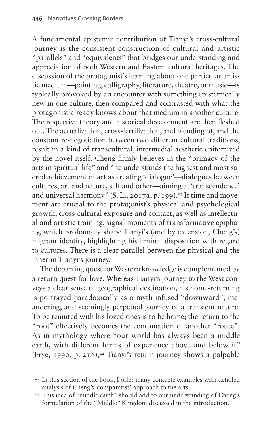A fundamental epistemic contribution of Tianyi's cross-cultural journey is the consistent construction of cultural and artistic "parallels" and "equivalents" that bridges our understanding and appreciation of both Western and Eastern cultural heritages. The discussion of the protagonist's learning about one particular artistic medium—painting, calligraphy, literature, theatre, or music—is typically provoked by an encounter with something epistemically new in one culture, then compared and contrasted with what the protagonist already knows about that medium in another culture. The respective theory and historical development are then fleshed out. The actualization, cross-fertilization, and blending of, and the constant re-negotiation between two different cultural traditions, result in a kind of transcultural, intermedial aesthetic epitomized by the novel itself. Cheng firmly believes in the "primacy of the arts in spiritual life" and "he understands the highest and most sacred achievement of art as creating 'dialogue'—dialogues between cultures, art and nature, self and other—aiming at 'transcendence' and universal harmony" (S. Li, 2017a, p. 199).<sup>23</sup> If time and movement are crucial to the protagonist's physical and psychological growth, cross-cultural exposure and contact, as well as intellectual and artistic training, signal moments of transformative epiphany, which profoundly shape Tianyi's (and by extension, Cheng's) migrant identity, highlighting his liminal disposition with regard to cultures. There is a clear parallel between the physical and the inner in Tianyi's journey.

The departing quest for Western knowledge is complemented by a return quest for love. Whereas Tianyi's journey to the West conveys a clear sense of geographical destination, his home-returning is portrayed paradoxically as a myth-infused "downward", meandering, and seemingly perpetual journey of a transient nature. To be reunited with his loved ones is to be home; the return to the "root" effectively becomes the continuation of another "route". As in mythology where "our world has always been a middle earth, with different forms of experience above and below it" (Frye, 1990, p. 216),<sup>24</sup> Tianyi's return journey shows a palpable

<span id="page-17-0"></span><sup>&</sup>lt;sup>23</sup> In this section of the book, I offer many concrete examples with detailed analysis of Cheng's 'comparatist' approach to the arts.

<span id="page-17-1"></span><sup>&</sup>lt;sup>24</sup> This idea of "middle earth" should add to our understanding of Cheng's formulation of the "Middle" Kingdom discussed in the introduction.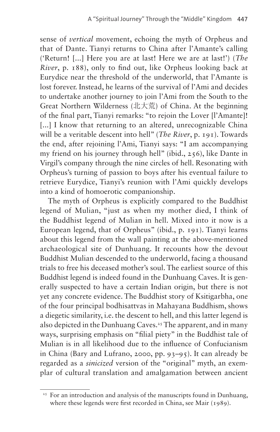sense of *vertical* movement, echoing the myth of Orpheus and that of Dante. Tianyi returns to China after l'Amante's calling ('Return! [...] Here you are at last! Here we are at last!') (*The River*, p. 188), only to find out, like Orpheus looking back at Eurydice near the threshold of the underworld, that l'Amante is lost forever. Instead, he learns of the survival of l'Ami and decides to undertake another journey to join l'Ami from the South to the Great Northern Wilderness (北大荒) of China. At the beginning of the final part, Tianyi remarks: "to rejoin the Lover [l'Amante]! [...] I know that returning to an altered, unrecognizable China will be a veritable descent into hell" (*The River*, p. 191). Towards the end, after rejoining l'Ami, Tianyi says: "I am accompanying my friend on his journey through hell" (ibid., 256), like Dante in Virgil's company through the nine circles of hell. Resonating with Orpheus's turning of passion to boys after his eventual failure to retrieve Eurydice, Tianyi's reunion with l'Ami quickly develops into a kind of homoerotic companionship.

The myth of Orpheus is explicitly compared to the Buddhist legend of Mulian, "just as when my mother died, I think of the Buddhist legend of Mulian in hell. Mixed into it now is a European legend, that of Orpheus" (ibid., p. 191). Tianyi learns about this legend from the wall painting at the above-mentioned archaeological site of Dunhuang. It recounts how the devout Buddhist Mulian descended to the underworld, facing a thousand trials to free his deceased mother's soul. The earliest source of this Buddhist legend is indeed found in the Dunhuang Caves. It is generally suspected to have a certain Indian origin, but there is not yet any concrete evidence. The Buddhist story of Ksitigarbha, one of the four principal bodhisattvas in Mahayana Buddhism, shows a diegetic similarity, i.e. the descent to hell, and this latter legend is also depicted in the Dunhuang Caves.<sup>[25](#page-18-0)</sup> The apparent, and in many ways, surprising emphasis on "filial piety" in the Buddhist tale of Mulian is in all likelihood due to the influence of Confucianism in China (Bary and Lufrano, 2000, pp. 93–95). It can already be regarded as a *sinicized* version of the "original" myth, an exemplar of cultural translation and amalgamation between ancient

<span id="page-18-0"></span><sup>&</sup>lt;sup>25</sup> For an introduction and analysis of the manuscripts found in Dunhuang, where these legends were first recorded in China, see Mair (1989).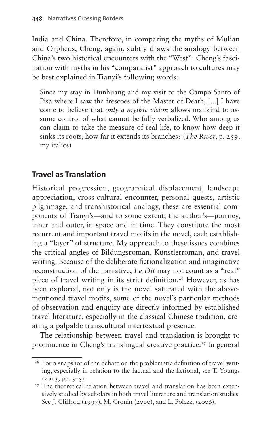India and China. Therefore, in comparing the myths of Mulian and Orpheus, Cheng, again, subtly draws the analogy between China's two historical encounters with the "West". Cheng's fascination with myths in his "comparatist" approach to cultures may be best explained in Tianyi's following words:

Since my stay in Dunhuang and my visit to the Campo Santo of Pisa where I saw the frescoes of the Master of Death, [...] I have come to believe that *only a mythic vision* allows mankind to assume control of what cannot be fully verbalized. Who among us can claim to take the measure of real life, to know how deep it sinks its roots, how far it extends its branches? (*The River*, p. 259, my italics)

# **Travel as Translation**

Historical progression, geographical displacement, landscape appreciation, cross-cultural encounter, personal quests, artistic pilgrimage, and transhistorical analogy, these are essential components of Tianyi's—and to some extent, the author's—journey, inner and outer, in space and in time. They constitute the most recurrent and important travel motifs in the novel, each establishing a "layer" of structure. My approach to these issues combines the critical angles of Bildungsroman, Künstlerroman, and travel writing. Because of the deliberate fictionalization and imaginative reconstruction of the narrative, *Le Dit* may not count as a "real" piece of travel writing in its strict definition.<sup>[26](#page-19-0)</sup> However, as has been explored, not only is the novel saturated with the abovementioned travel motifs, some of the novel's particular methods of observation and enquiry are directly informed by established travel literature, especially in the classical Chinese tradition, creating a palpable transcultural intertextual presence.

The relationship between travel and translation is brought to prominence in Cheng's translingual creative practice.<sup>27</sup> In general

<span id="page-19-0"></span><sup>&</sup>lt;sup>26</sup> For a snapshot of the debate on the problematic definition of travel writing, especially in relation to the factual and the fictional, see T. Youngs  $(2013, pp. 3-5).$ 

<span id="page-19-1"></span><sup>&</sup>lt;sup>27</sup> The theoretical relation between travel and translation has been extensively studied by scholars in both travel literature and translation studies. See J. Clifford (1997), M. Cronin (2000), and L. Polezzi (2006).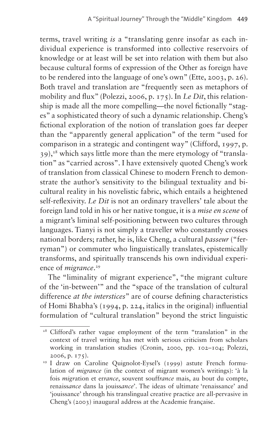terms, travel writing *is* a "translating genre insofar as each individual experience is transformed into collective reservoirs of knowledge or at least will be set into relation with them but also because cultural forms of expression of the Other as foreign have to be rendered into the language of one's own" (Ette, 2003, p. 26). Both travel and translation are "frequently seen as metaphors of mobility and flux" (Polezzi, 2006, p. 175). In *Le Dit*, this relationship is made all the more compelling—the novel fictionally "stages" a sophisticated theory of such a dynamic relationship. Cheng's fictional exploration of the notion of translation goes far deeper than the "apparently general application" of the term "used for comparison in a strategic and contingent way" (Clifford, 1997, p. 39),[28](#page-20-0) which says little more than the mere etymology of "translation" as "carried across". I have extensively quoted Cheng's work of translation from classical Chinese to modern French to demonstrate the author's sensitivity to the bilingual textuality and bicultural reality in his novelistic fabric, which entails a heightened self-reflexivity. *Le Dit* is not an ordinary travellers' tale about the foreign land told in his or her native tongue, it is a *mise en scene* of a migrant's liminal self-positioning between two cultures through languages. Tianyi is not simply a traveller who constantly crosses national borders; rather, he is, like Cheng, a cultural *passeur* ("ferryman") or commuter who linguistically translates, epistemically transforms, and spiritually transcends his own individual experience of *migrance*. [29](#page-20-1)

The "liminality of migrant experience", "the migrant culture of the 'in-between'" and the "space of the translation of cultural difference *at the interstices*" are of course defining characteristics of Homi Bhabha's (1994, p. 224, italics in the original) influential formulation of "cultural translation" beyond the strict linguistic

<span id="page-20-0"></span><sup>&</sup>lt;sup>28</sup> Clifford's rather vague employment of the term "translation" in the context of travel writing has met with serious criticism from scholars working in translation studies (Cronin, 2000, pp. 102–104; Polezzi, 2006, p. 175).

<span id="page-20-1"></span><sup>&</sup>lt;sup>29</sup> I draw on Caroline Quignolot-Eysel's (1999) astute French formulation of *migrance* (in the context of migrant women's writings): 'à la fois *migr*ation et er*rance*, souvent souff*rance* mais, au bout du compte, renaiss*ance* dans la jouiss*ance*'. The ideas of ultimate 'renaissance' and 'jouissance' through his translingual creative practice are all-pervasive in Cheng's (2003) inaugural address at the Academie française.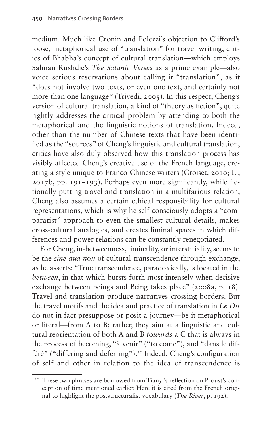medium. Much like Cronin and Polezzi's objection to Clifford's loose, metaphorical use of "translation" for travel writing, critics of Bhabha's concept of cultural translation—which employs Salman Rushdie's *The Satanic Verses* as a prime example—also voice serious reservations about calling it "translation", as it "does not involve two texts, or even one text, and certainly not more than one language" (Trivedi, 2005). In this respect, Cheng's version of cultural translation, a kind of "theory as fiction", quite rightly addresses the critical problem by attending to both the metaphorical and the linguistic notions of translation. Indeed, other than the number of Chinese texts that have been identified as the "sources" of Cheng's linguistic and cultural translation, critics have also duly observed how this translation process has visibly affected Cheng's creative use of the French language, creating a style unique to Franco-Chinese writers (Croiset, 2010; Li, 2017b, pp. 191–193). Perhaps even more significantly, while fictionally putting travel and translation in a multifarious relation, Cheng also assumes a certain ethical responsibility for cultural representations, which is why he self-consciously adopts a "comparatist" approach to even the smallest cultural details, makes cross-cultural analogies, and creates liminal spaces in which differences and power relations can be constantly renegotiated.

For Cheng, in-betweenness, liminality, or interstitiality, seems to be the *sine qua non* of cultural transcendence through exchange, as he asserts: "True transcendence, paradoxically, is located in the *between*, in that which bursts forth most intensely when decisive exchange between beings and Being takes place" (2008a, p. 18). Travel and translation produce narratives crossing borders. But the travel motifs and the idea and practice of translation in *Le Dit*  do not in fact presuppose or posit a journey—be it metaphorical or literal—from A to B; rather, they aim at a linguistic and cultural reorientation of both A and B *towards* a C that is always in the process of becoming, "à venir" ("to come"), and "dans le différé" ("differing and deferring").[30](#page-21-0) Indeed, Cheng's configuration of self and other in relation to the idea of transcendence is

<span id="page-21-0"></span><sup>&</sup>lt;sup>30</sup> These two phrases are borrowed from Tianyi's reflection on Proust's conception of time mentioned earlier. Here it is cited from the French original to highlight the poststructuralist vocabulary (*The River*, p. 192).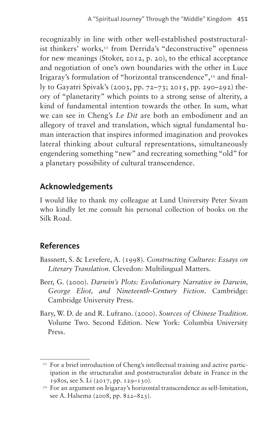recognizably in line with other well-established poststructuralist thinkers' works,<sup>31</sup> from Derrida's "deconstructive" openness for new meanings (Stoker, 2012, p. 20), to the ethical acceptance and negotiation of one's own boundaries with the other in Luce Irigaray's formulation of "horizontal transcendence"[,32](#page-22-1) and finally to Gayatri Spivak's (2003, pp. 72–73; 2015, pp. 290–292) theory of "planetarity" which points to a strong sense of alterity, a kind of fundamental intention towards the other. In sum, what we can see in Cheng's *Le Dit* are both an embodiment and an allegory of travel and translation, which signal fundamental human interaction that inspires informed imagination and provokes lateral thinking about cultural representations, simultaneously engendering something "new" and recreating something "old" for a planetary possibility of cultural transcendence.

## **Acknowledgements**

I would like to thank my colleague at Lund University Peter Sivam who kindly let me consult his personal collection of books on the Silk Road.

# **References**

- Bassnett, S. & Levefere, A. (1998). *Constructing Cultures: Essays on Literary Translation*. Clevedon: Multilingual Matters.
- Beer, G. (2000). *Darwin's Plots: Evolutionary Narrative in Darwin, George Eliot, and Nineteenth-Century Fiction*. Cambridge: Cambridge University Press.
- Bary, W. D. de and R. Lufrano. (2000). *Sources of Chinese Tradition*. Volume Two. Second Edition. New York: Columbia University Press.

<span id="page-22-0"></span><sup>&</sup>lt;sup>31</sup> For a brief introduction of Cheng's intellectual training and active participation in the structuralist and poststructuralist debate in France in the 1980s, see S. Li (2017, pp. 129–130).

<span id="page-22-1"></span><sup>&</sup>lt;sup>32</sup> For an argument on Irigaray's horizontal transcendence as self-limitation, see A. Halsema (2008, pp. 822–823).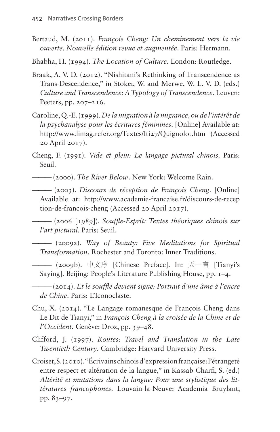- Bertaud, M. (2011). *François Cheng: Un cheminement vers la vie ouverte. Nouvelle édition revue et augmentée*. Paris: Hermann.
- Bhabha, H. (1994). *The Location of Culture*. London: Routledge.
- Braak, A. V. D. (2012). "Nishitani's Rethinking of Transcendence as Trans-Descendence," in Stoker, W. and Merwe, W. L. V. D. (eds.) *Culture and Transcendence: A Typology of Transcendence*. Leuven: Peeters, pp. 207–216.
- Caroline, Q.-E. (1999). *De la migration à la migrance, ou de l'intérêt de la psychanalyse pour les écritures féminines*. [Online] Available at: [http://www.limag.refer.org/Textes/Iti27/Quignolot.htm](http://www.limag.refer.org/Textes/‌Iti27/‌Quignolot.‌htm) (Accessed 20 April 2017).
- Cheng, F. (1991). *Vide et plein: Le langage pictural chinois*. Paris: Seuil.
- ——— (2000). *The River Below*. New York: Welcome Rain.
- ——— (2003). *Discours de réception de François Cheng*. [Online] Available at: [http://www.academie-francaise.fr/discours-de-recep](http://www.academie-francaise.fr/discours-de-reception-de-francois-cheng) [tion-de-francois-cheng](http://www.academie-francaise.fr/discours-de-reception-de-francois-cheng) (Accessed 20 April 2017).

——— (2006 [1989]). *Souffle-Esprit: Textes théoriques chinois sur l'art pictural*. Paris: Seuil.

- ——— (2009a). *Way of Beauty: Five Meditations for Spiritual Transformation*. Rochester and Toronto: Inner Traditions.
	- ——— (2009b). 中文序 [Chinese Preface]. In: 天一言 [Tianyi's Saying]. Beijing: People's Literature Publishing House, pp. 1–4.
- ——— (2014). *Et le souffle devient signe: Portrait d'une âme à l'encre de Chine*. Paris: L'Iconoclaste.
- Chu, X. (2014). "Le Langage romanesque de François Cheng dans Le Dit de Tianyi," in *François Cheng à la croisée de la Chine et de l'Occident*. Genève: Droz, pp. 39–48.
- Clifford, J. (1997). *Routes: Travel and Translation in the Late Twentieth Century*. Cambridge: Harvard University Press.
- Croiset, S. (2010). "Écrivains chinois d'expression française: l'étrangeté entre respect et altération de la langue," in Kassab-Charfi, S. (ed.) *Altérité et mutations dans la langue: Pour une stylistique des littératures francophones*. Louvain-la-Neuve: Academia Bruylant, pp. 83–97.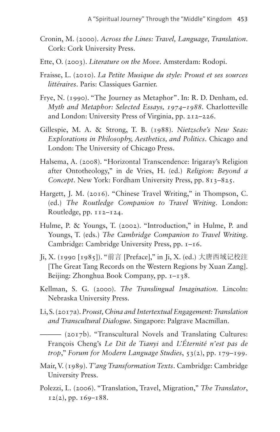- Cronin, M. (2000). *Across the Lines: Travel, Language, Translation*. Cork: Cork University Press.
- Ette, O. (2003). *Literature on the Move*. Amsterdam: Rodopi.
- Fraisse, L. (2010). *La Petite Musique du style: Proust et ses sources littéraires*. Paris: Classiques Garnier.
- Frye, N. (1990). "The Journey as Metaphor". In: R. D. Denham, ed. *Myth and Metaphor: Selected Essays, 1974–1988*. Charlotteville and London: University Press of Virginia, pp. 212–226.
- Gillespie, M. A. & Strong, T. B. (1988). *Nietzsche's New Seas: Explorations in Philosophy, Aesthetics, and Politics*. Chicago and London: The University of Chicago Press.
- Halsema, A. (2008). "Horizontal Transcendence: Irigaray's Religion after Ontotheology," in de Vries, H. (ed.) *Religion: Beyond a Concept*. New York: Fordham University Press, pp. 813–825.
- Hargett, J. M. (2016). "Chinese Travel Writing," in Thompson, C. (ed.) *The Routledge Companion to Travel Writing*. London: Routledge, pp. 112–124.
- Hulme, P. & Youngs, T. (2002). "Introduction," in Hulme, P. and Youngs, T. (eds.) *The Cambridge Companion to Travel Writing*. Cambridge: Cambridge University Press, pp. 1–16.
- Ji, X. (1990 [1985]). "前言 [Preface]," in Ji, X. (ed.) 大唐西域记校注 [The Great Tang Records on the Western Regions by Xuan Zang]. Beijing: Zhonghua Book Company, pp.  $I-I$  38.
- Kellman, S. G. (2000). *The Translingual Imagination*. Lincoln: Nebraska University Press.
- Li, S. (2017a). *Proust, China and Intertextual Engagement: Translation and Transcultural Dialogue*. Singapore: Palgrave Macmillan.

——— (2017b). "Transcultural Novels and Translating Cultures: François Cheng's *Le Dit de Tianyi* and *L'Éternité n'est pas de trop*," *Forum for Modern Language Studies*, 53(2), pp. 179–199.

- Mair, V. (1989). *T'ang Transformation Texts*. Cambridge: Cambridge University Press.
- Polezzi, L. (2006). "Translation, Travel, Migration," *The Translator*,  $12(2)$ , pp.  $169-188$ .